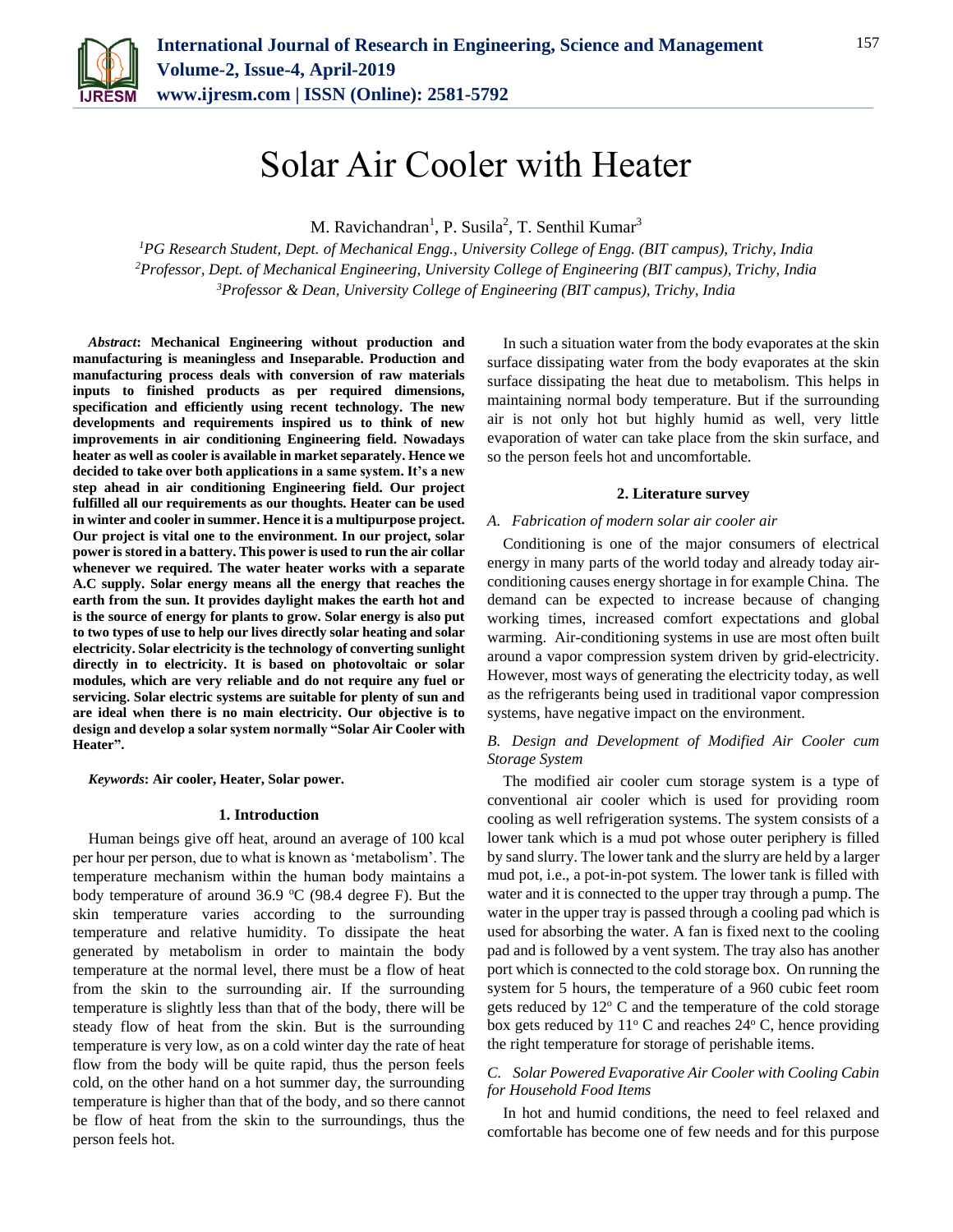

# Solar Air Cooler with Heater

M. Ravichandran<sup>1</sup>, P. Susila<sup>2</sup>, T. Senthil Kumar<sup>3</sup>

*<sup>1</sup>PG Research Student, Dept. of Mechanical Engg., University College of Engg. (BIT campus), Trichy, India <sup>2</sup>Professor, Dept. of Mechanical Engineering, University College of Engineering (BIT campus), Trichy, India <sup>3</sup>Professor & Dean, University College of Engineering (BIT campus), Trichy, India*

*Abstract***: Mechanical Engineering without production and manufacturing is meaningless and Inseparable. Production and manufacturing process deals with conversion of raw materials inputs to finished products as per required dimensions, specification and efficiently using recent technology. The new developments and requirements inspired us to think of new improvements in air conditioning Engineering field. Nowadays heater as well as cooler is available in market separately. Hence we decided to take over both applications in a same system. It's a new step ahead in air conditioning Engineering field. Our project fulfilled all our requirements as our thoughts. Heater can be used in winter and cooler in summer. Hence it is a multipurpose project. Our project is vital one to the environment. In our project, solar power is stored in a battery. This power is used to run the air collar whenever we required. The water heater works with a separate A.C supply. Solar energy means all the energy that reaches the earth from the sun. It provides daylight makes the earth hot and is the source of energy for plants to grow. Solar energy is also put to two types of use to help our lives directly solar heating and solar electricity. Solar electricity is the technology of converting sunlight directly in to electricity. It is based on photovoltaic or solar modules, which are very reliable and do not require any fuel or servicing. Solar electric systems are suitable for plenty of sun and are ideal when there is no main electricity. Our objective is to design and develop a solar system normally "Solar Air Cooler with Heater".**

*Keywords***: Air cooler, Heater, Solar power.**

#### **1. Introduction**

Human beings give off heat, around an average of 100 kcal per hour per person, due to what is known as 'metabolism'. The temperature mechanism within the human body maintains a body temperature of around 36.9  $°C$  (98.4 degree F). But the skin temperature varies according to the surrounding temperature and relative humidity. To dissipate the heat generated by metabolism in order to maintain the body temperature at the normal level, there must be a flow of heat from the skin to the surrounding air. If the surrounding temperature is slightly less than that of the body, there will be steady flow of heat from the skin. But is the surrounding temperature is very low, as on a cold winter day the rate of heat flow from the body will be quite rapid, thus the person feels cold, on the other hand on a hot summer day, the surrounding temperature is higher than that of the body, and so there cannot be flow of heat from the skin to the surroundings, thus the person feels hot.

In such a situation water from the body evaporates at the skin surface dissipating water from the body evaporates at the skin surface dissipating the heat due to metabolism. This helps in maintaining normal body temperature. But if the surrounding air is not only hot but highly humid as well, very little evaporation of water can take place from the skin surface, and so the person feels hot and uncomfortable.

### **2. Literature survey**

## *A. Fabrication of modern solar air cooler air*

Conditioning is one of the major consumers of electrical energy in many parts of the world today and already today airconditioning causes energy shortage in for example China. The demand can be expected to increase because of changing working times, increased comfort expectations and global warming. Air-conditioning systems in use are most often built around a vapor compression system driven by grid-electricity. However, most ways of generating the electricity today, as well as the refrigerants being used in traditional vapor compression systems, have negative impact on the environment.

## *B. Design and Development of Modified Air Cooler cum Storage System*

The modified air cooler cum storage system is a type of conventional air cooler which is used for providing room cooling as well refrigeration systems. The system consists of a lower tank which is a mud pot whose outer periphery is filled by sand slurry. The lower tank and the slurry are held by a larger mud pot, i.e., a pot-in-pot system. The lower tank is filled with water and it is connected to the upper tray through a pump. The water in the upper tray is passed through a cooling pad which is used for absorbing the water. A fan is fixed next to the cooling pad and is followed by a vent system. The tray also has another port which is connected to the cold storage box. On running the system for 5 hours, the temperature of a 960 cubic feet room gets reduced by  $12^{\circ}$  C and the temperature of the cold storage box gets reduced by  $11^{\circ}$  C and reaches  $24^{\circ}$  C, hence providing the right temperature for storage of perishable items.

## *C. Solar Powered Evaporative Air Cooler with Cooling Cabin for Household Food Items*

In hot and humid conditions, the need to feel relaxed and comfortable has become one of few needs and for this purpose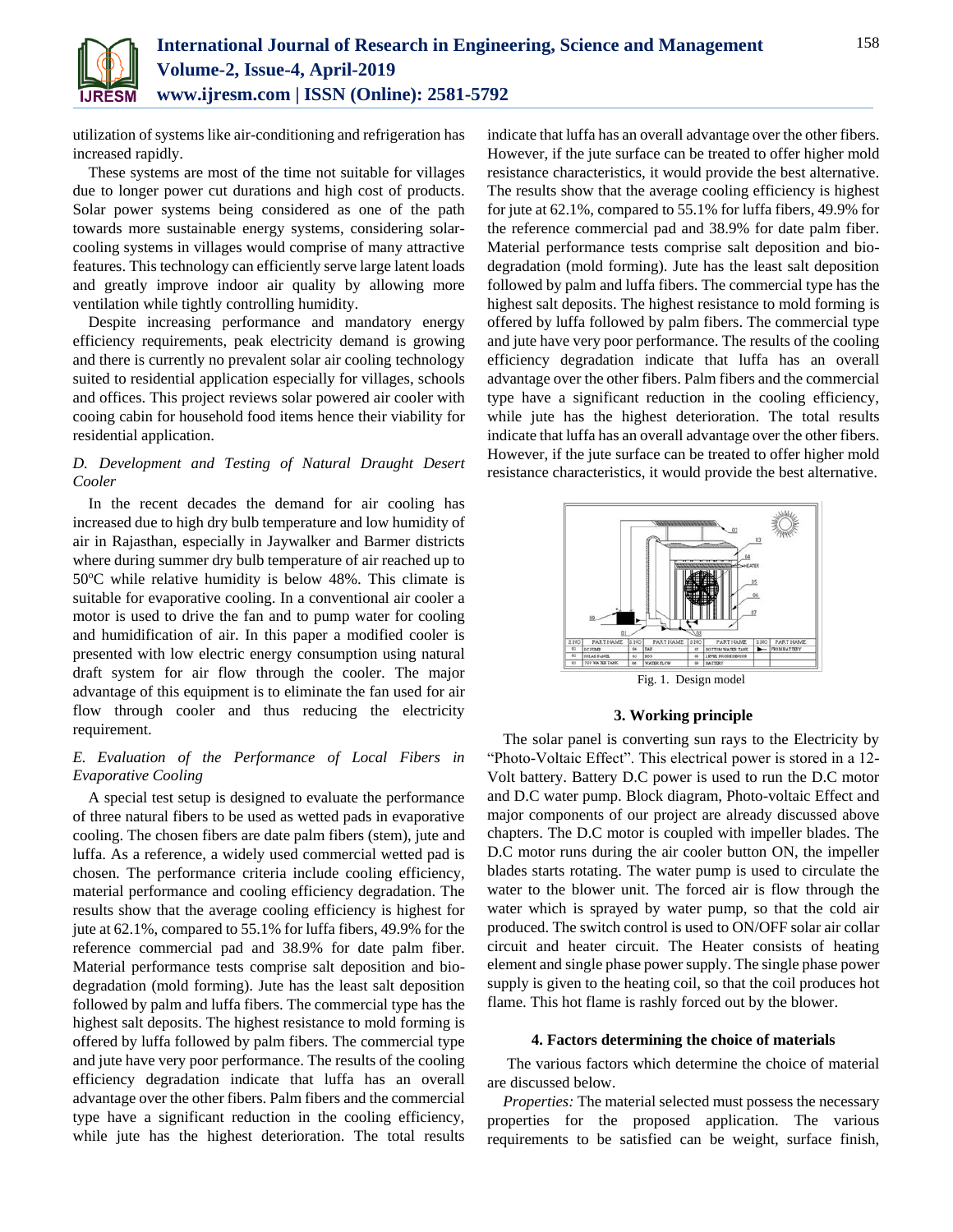

utilization of systems like air-conditioning and refrigeration has increased rapidly.

These systems are most of the time not suitable for villages due to longer power cut durations and high cost of products. Solar power systems being considered as one of the path towards more sustainable energy systems, considering solarcooling systems in villages would comprise of many attractive features. This technology can efficiently serve large latent loads and greatly improve indoor air quality by allowing more ventilation while tightly controlling humidity.

Despite increasing performance and mandatory energy efficiency requirements, peak electricity demand is growing and there is currently no prevalent solar air cooling technology suited to residential application especially for villages, schools and offices. This project reviews solar powered air cooler with cooing cabin for household food items hence their viability for residential application.

## *D. Development and Testing of Natural Draught Desert Cooler*

In the recent decades the demand for air cooling has increased due to high dry bulb temperature and low humidity of air in Rajasthan, especially in Jaywalker and Barmer districts where during summer dry bulb temperature of air reached up to  $50^{\circ}$ C while relative humidity is below 48%. This climate is suitable for evaporative cooling. In a conventional air cooler a motor is used to drive the fan and to pump water for cooling and humidification of air. In this paper a modified cooler is presented with low electric energy consumption using natural draft system for air flow through the cooler. The major advantage of this equipment is to eliminate the fan used for air flow through cooler and thus reducing the electricity requirement.

# *E. Evaluation of the Performance of Local Fibers in Evaporative Cooling*

A special test setup is designed to evaluate the performance of three natural fibers to be used as wetted pads in evaporative cooling. The chosen fibers are date palm fibers (stem), jute and luffa. As a reference, a widely used commercial wetted pad is chosen. The performance criteria include cooling efficiency, material performance and cooling efficiency degradation. The results show that the average cooling efficiency is highest for jute at 62.1%, compared to 55.1% for luffa fibers, 49.9% for the reference commercial pad and 38.9% for date palm fiber. Material performance tests comprise salt deposition and biodegradation (mold forming). Jute has the least salt deposition followed by palm and luffa fibers. The commercial type has the highest salt deposits. The highest resistance to mold forming is offered by luffa followed by palm fibers. The commercial type and jute have very poor performance. The results of the cooling efficiency degradation indicate that luffa has an overall advantage over the other fibers. Palm fibers and the commercial type have a significant reduction in the cooling efficiency, while jute has the highest deterioration. The total results indicate that luffa has an overall advantage over the other fibers. However, if the jute surface can be treated to offer higher mold resistance characteristics, it would provide the best alternative. The results show that the average cooling efficiency is highest for jute at 62.1%, compared to 55.1% for luffa fibers, 49.9% for the reference commercial pad and 38.9% for date palm fiber. Material performance tests comprise salt deposition and biodegradation (mold forming). Jute has the least salt deposition followed by palm and luffa fibers. The commercial type has the highest salt deposits. The highest resistance to mold forming is offered by luffa followed by palm fibers. The commercial type and jute have very poor performance. The results of the cooling efficiency degradation indicate that luffa has an overall advantage over the other fibers. Palm fibers and the commercial type have a significant reduction in the cooling efficiency, while jute has the highest deterioration. The total results indicate that luffa has an overall advantage over the other fibers. However, if the jute surface can be treated to offer higher mold resistance characteristics, it would provide the best alternative.



**3. Working principle**

The solar panel is converting sun rays to the Electricity by "Photo-Voltaic Effect". This electrical power is stored in a 12- Volt battery. Battery D.C power is used to run the D.C motor and D.C water pump. Block diagram, Photo-voltaic Effect and major components of our project are already discussed above chapters. The D.C motor is coupled with impeller blades. The D.C motor runs during the air cooler button ON, the impeller blades starts rotating. The water pump is used to circulate the water to the blower unit. The forced air is flow through the water which is sprayed by water pump, so that the cold air produced. The switch control is used to ON/OFF solar air collar circuit and heater circuit. The Heater consists of heating element and single phase power supply. The single phase power supply is given to the heating coil, so that the coil produces hot flame. This hot flame is rashly forced out by the blower.

### **4. Factors determining the choice of materials**

The various factors which determine the choice of material are discussed below.

*Properties:* The material selected must possess the necessary properties for the proposed application. The various requirements to be satisfied can be weight, surface finish,